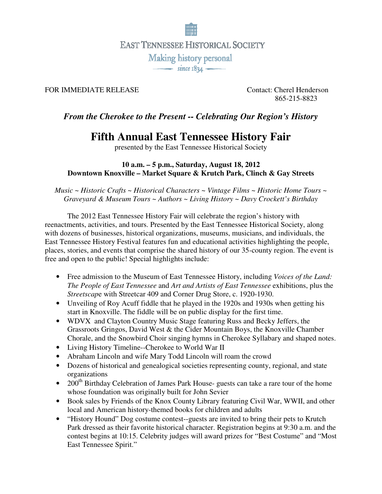

### FOR IMMEDIATE RELEASE Contact: Cherel Henderson

865-215-8823

## *From the Cherokee to the Present -- Celebrating Our Region's History*

# **Fifth Annual East Tennessee History Fair**

presented by the East Tennessee Historical Society

#### **10 a.m. – 5 p.m., Saturday, August 18, 2012 Downtown Knoxville – Market Square & Krutch Park, Clinch & Gay Streets**

*Music ~ Historic Crafts ~ Historical Characters ~ Vintage Films ~ Historic Home Tours ~ Graveyard & Museum Tours ~ Authors ~ Living History ~ Davy Crockett's Birthday*

 The 2012 East Tennessee History Fair will celebrate the region's history with reenactments, activities, and tours. Presented by the East Tennessee Historical Society, along with dozens of businesses, historical organizations, museums, musicians, and individuals, the East Tennessee History Festival features fun and educational activities highlighting the people, places, stories, and events that comprise the shared history of our 35-county region. The event is free and open to the public! Special highlights include:

- Free admission to the Museum of East Tennessee History, including *Voices of the Land: The People of East Tennessee* and *Art and Artists of East Tennessee* exhibitions, plus the *Streetscap*e with Streetcar 409 and Corner Drug Store, c. 1920-1930.
- Unveiling of Roy Acuff fiddle that he played in the 1920s and 1930s when getting his start in Knoxville. The fiddle will be on public display for the first time.
- WDVX and Clayton Country Music Stage featuring Russ and Becky Jeffers, the Grassroots Gringos, David West & the Cider Mountain Boys, the Knoxville Chamber Chorale, and the Snowbird Choir singing hymns in Cherokee Syllabary and shaped notes.
- Living History Timeline--Cherokee to World War II
- Abraham Lincoln and wife Mary Todd Lincoln will roam the crowd
- Dozens of historical and genealogical societies representing county, regional, and state organizations
- 200<sup>th</sup> Birthday Celebration of James Park House- guests can take a rare tour of the home whose foundation was originally built for John Sevier
- Book sales by Friends of the Knox County Library featuring Civil War, WWII, and other local and American history-themed books for children and adults
- "History Hound" Dog costume contest--guests are invited to bring their pets to Krutch Park dressed as their favorite historical character. Registration begins at 9:30 a.m. and the contest begins at 10:15. Celebrity judges will award prizes for "Best Costume" and "Most East Tennessee Spirit."